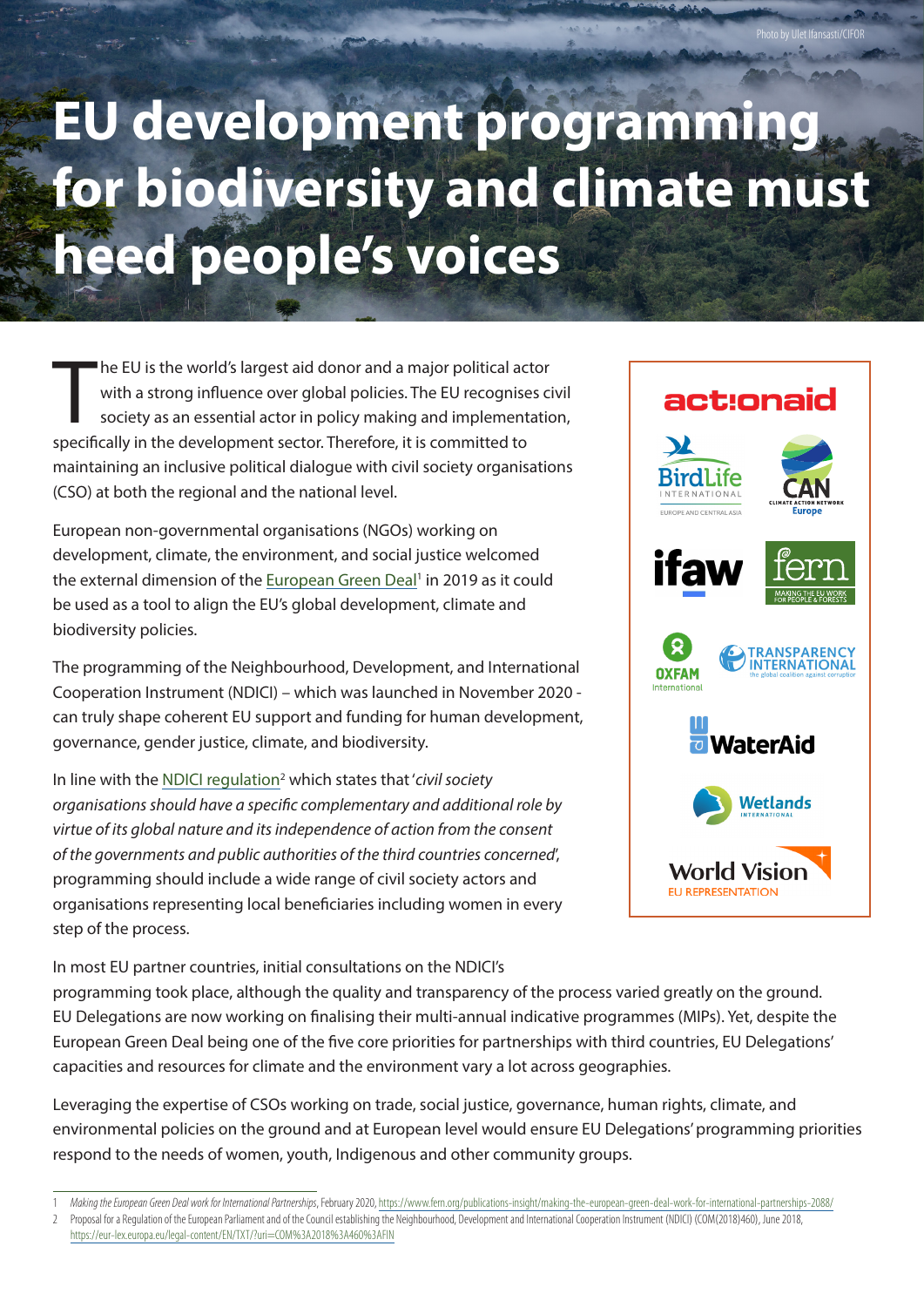## **EU development programming for biodiversity and climate must heed people's voices**

The EU is the world's largest aid donor and a major political ac<br>with a strong influence over global policies. The EU recognise<br>society as an essential actor in policy making and implement<br>specifically in the development s he EU is the world's largest aid donor and a major political actor with a strong influence over global policies. The EU recognises civil society as an essential actor in policy making and implementation, maintaining an inclusive political dialogue with civil society organisations (CSO) at both the regional and the national level.

European non-governmental organisations (NGOs) working on development, climate, the environment, and social justice welcomed the external dimension of the European Green Deal<sup>1</sup> in 2019 as it could be used as a tool to align the EU's global development, climate and biodiversity policies.

The programming of the Neighbourhood, Development, and International Cooperation Instrument (NDICI) – which was launched in November 2020 can truly shape coherent EU support and funding for human development, governance, gender justice, climate, and biodiversity.

In line with the NDICI regulation<sup>2</sup> which states that '*civil society organisations should have a specific complementary and additional role by virtue of its global nature and its independence of action from the consent of the governments and public authorities of the third countries concerned*', programming should include a wide range of civil society actors and organisations representing local beneficiaries including women in every step of the process.

In most EU partner countries, initial consultations on the NDICI's

act:onaid BirdLife NTERNATIONAL EUROPE AND CENTRAL ASIA raw **TRANSPARENC OXFAM WaterAid Wetlands World Vision FU REPRESENTATION** 

Photo by Ulet Ifansasti/CIFOR

programming took place, although the quality and transparency of the process varied greatly on the ground. EU Delegations are now working on finalising their multi-annual indicative programmes (MIPs). Yet, despite the European Green Deal being one of the five core priorities for partnerships with third countries, EU Delegations' capacities and resources for climate and the environment vary a lot across geographies.

Leveraging the expertise of CSOs working on trade, social justice, governance, human rights, climate, and environmental policies on the ground and at European level would ensure EU Delegations' programming priorities respond to the needs of women, youth, Indigenous and other community groups.

<sup>1</sup> *Making the European Green Deal work for International Partnerships*, February 2020, [https://www.fern.org/publications-insight/making-the-european-green-deal-work-for-international-partnerships-2088/](https://www.fern.org/publications-insight/making-the-european-green-deal-work-for-international-partnerships-2088)

<sup>2</sup> Proposal for a Regulation of the European Parliament and of the Council establishing the Neighbourhood, Development and International Cooperation Instrument (NDICI) (COM(2018)460), June 2018, <https://eur-lex.europa.eu/legal-content/EN/TXT/?uri=COM%3A2018%3A460%3AFIN>